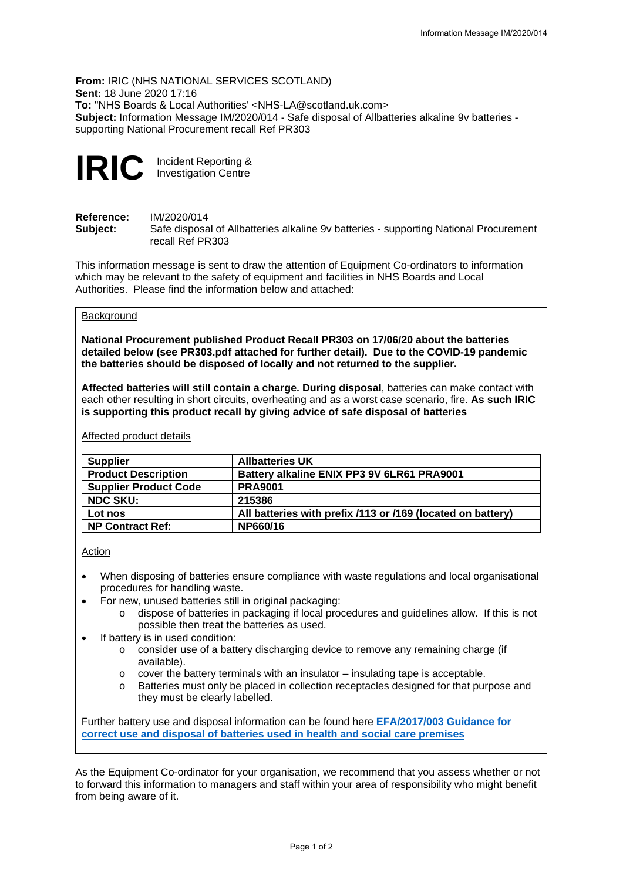**From:** IRIC (NHS NATIONAL SERVICES SCOTLAND) **Sent:** 18 June 2020 17:16 **To:** ''NHS Boards & Local Authorities' <NHS-LA@scotland.uk.com> **Subject:** Information Message IM/2020/014 - Safe disposal of Allbatteries alkaline 9v batteries supporting National Procurement recall Ref PR303

**IRIC** Incident Reporting & Investigation Centre

**Reference:** IM/2020/014<br>**Subiect:** Safe disposa Safe disposal of Allbatteries alkaline 9v batteries - supporting National Procurement recall Ref PR303

This information message is sent to draw the attention of Equipment Co-ordinators to information which may be relevant to the safety of equipment and facilities in NHS Boards and Local Authorities. Please find the information below and attached:

# **Background**

**National Procurement published Product Recall PR303 on 17/06/20 about the batteries detailed below (see PR303.pdf attached for further detail). Due to the COVID-19 pandemic the batteries should be disposed of locally and not returned to the supplier.**

**Affected batteries will still contain a charge. During disposal**, batteries can make contact with each other resulting in short circuits, overheating and as a worst case scenario, fire. **As such IRIC is supporting this product recall by giving advice of safe disposal of batteries**

| <b>Supplier</b>              | <b>Allbatteries UK</b>                                      |
|------------------------------|-------------------------------------------------------------|
| <b>Product Description</b>   | Battery alkaline ENIX PP3 9V 6LR61 PRA9001                  |
| <b>Supplier Product Code</b> | <b>PRA9001</b>                                              |
| <b>NDC SKU:</b>              | 215386                                                      |
| Lot nos                      | All batteries with prefix /113 or /169 (located on battery) |
| <b>NP Contract Ref:</b>      | NP660/16                                                    |

Affected product details

#### Action

- When disposing of batteries ensure compliance with waste regulations and local organisational procedures for handling waste.
- For new, unused batteries still in original packaging:
	- o dispose of batteries in packaging if local procedures and guidelines allow. If this is not possible then treat the batteries as used.
- If battery is in used condition:
	- o consider use of a battery discharging device to remove any remaining charge (if available).
	- $\circ$  cover the battery terminals with an insulator insulating tape is acceptable.
	- Batteries must only be placed in collection receptacles designed for that purpose and they must be clearly labelled.

Further battery use and disposal information can be found here **[EFA/2017/003 Guidance for](http://www.hfs.scot.nhs.uk/publications/1504796027-EFA%202017%20003.pdf)  [correct use and disposal of batteries used in health and social care premises](http://www.hfs.scot.nhs.uk/publications/1504796027-EFA%202017%20003.pdf)**

As the Equipment Co-ordinator for your organisation, we recommend that you assess whether or not to forward this information to managers and staff within your area of responsibility who might benefit from being aware of it.